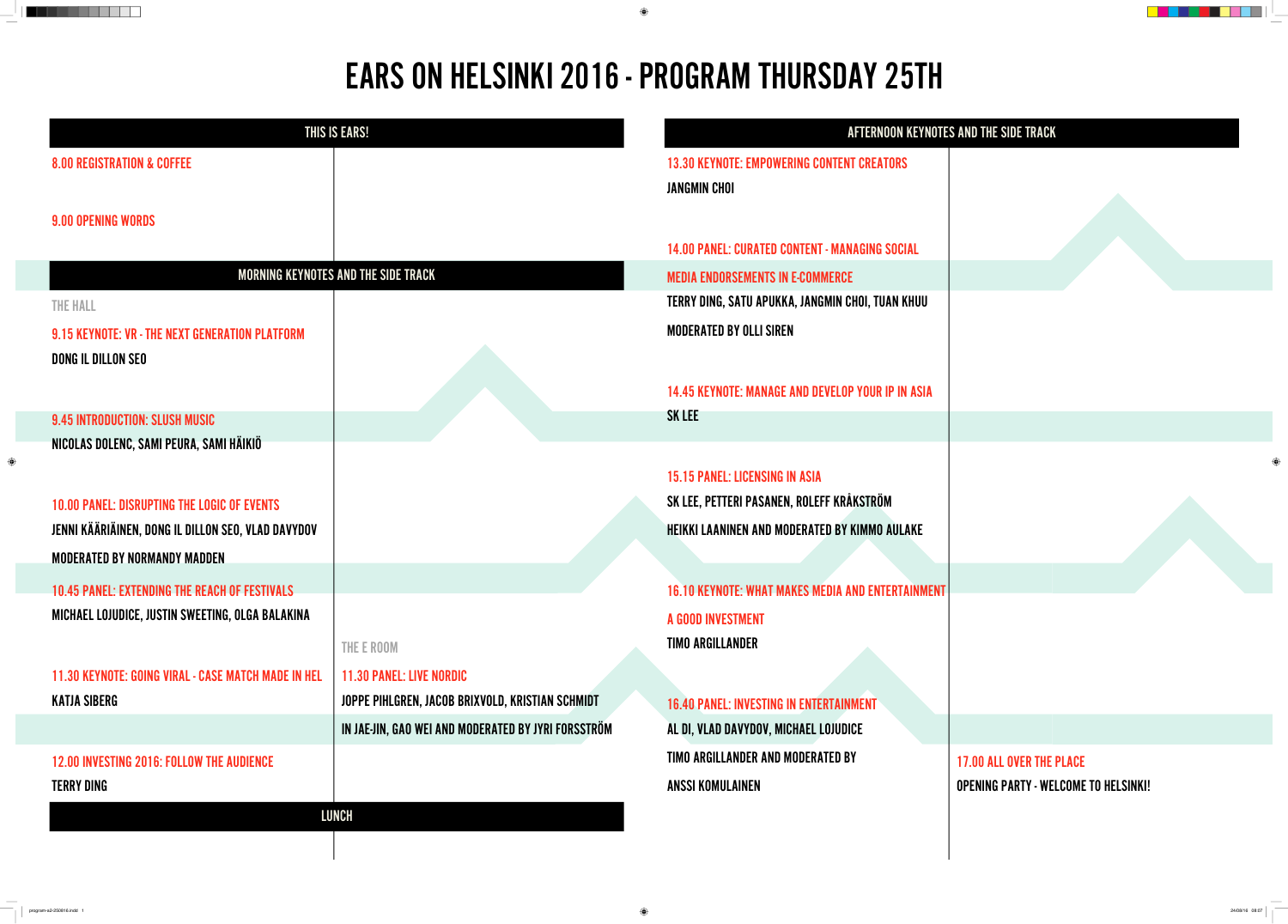|                                                                                                          | <b>THIS IS EARS!</b>                                | AFTERNOON KEYNOTES AND THE SIDE TRACK                                    |                                             |  |  |
|----------------------------------------------------------------------------------------------------------|-----------------------------------------------------|--------------------------------------------------------------------------|---------------------------------------------|--|--|
| <b>8.00 REGISTRATION &amp; COFFEE</b>                                                                    |                                                     | <b>13.30 KEYNOTE: EMPOWERING CONTENT CREATORS</b><br><b>JANGMIN CHOI</b> |                                             |  |  |
| <b>9.00 OPENING WORDS</b>                                                                                |                                                     |                                                                          |                                             |  |  |
|                                                                                                          |                                                     | <b>14.00 PANEL: CURATED CONTENT - MANAGING SOCIAL</b>                    |                                             |  |  |
|                                                                                                          | <b>MORNING KEYNOTES AND THE SIDE TRACK</b>          | <b>MEDIA ENDORSEMENTS IN E-COMMERCE</b>                                  |                                             |  |  |
| THE HALL                                                                                                 |                                                     | TERRY DING, SATU APUKKA, JANGMIN CHOI, TUAN KHUU                         |                                             |  |  |
| 9.15 KEYNOTE: VR - THE NEXT GENERATION PLATFORM                                                          |                                                     | <b>MODERATED BY OLLI SIREN</b>                                           |                                             |  |  |
| DONG IL DILLON SEO                                                                                       |                                                     |                                                                          |                                             |  |  |
|                                                                                                          |                                                     | <b>14.45 KEYNOTE: MANAGE AND DEVELOP YOUR IP IN ASIA</b>                 |                                             |  |  |
| <b>9.45 INTRODUCTION: SLUSH MUSIC</b>                                                                    |                                                     | <b>SK LEE</b>                                                            |                                             |  |  |
| NICOLAS DOLENC, SAMI PEURA, SAMI HÄIKIÖ                                                                  |                                                     |                                                                          |                                             |  |  |
|                                                                                                          |                                                     | <b>15.15 PANEL: LICENSING IN ASIA</b>                                    | ⊕                                           |  |  |
| <b>10.00 PANEL: DISRUPTING THE LOGIC OF EVENTS</b>                                                       |                                                     | SK LEE, PETTERI PASANEN, ROLEFF KRÅKSTRÖM                                |                                             |  |  |
| JENNI KÄÄRIÄINEN, DONG IL DILLON SEO, VLAD DAVYDOV                                                       |                                                     | <b>HEIKKI LAANINEN AND MODERATED BY KIMMO AULAKE</b>                     |                                             |  |  |
| <b>MODERATED BY NORMANDY MADDEN</b>                                                                      |                                                     |                                                                          |                                             |  |  |
|                                                                                                          |                                                     |                                                                          |                                             |  |  |
| <b>10.45 PANEL: EXTENDING THE REACH OF FESTIVALS</b><br>MICHAEL LOJUDICE, JUSTIN SWEETING, OLGA BALAKINA |                                                     | <b>16.10 KEYNOTE: WHAT MAKES MEDIA AND ENTERTAINMENT</b>                 |                                             |  |  |
|                                                                                                          |                                                     | A GOOD INVESTMENT                                                        |                                             |  |  |
|                                                                                                          | THE E ROOM                                          | <b>TIMO ARGILLANDER</b>                                                  |                                             |  |  |
| <b>11.30 KEYNOTE: GOING VIRAL - CASE MATCH MADE IN HEL</b>                                               | <b>11.30 PANEL: LIVE NORDIC</b>                     |                                                                          |                                             |  |  |
| <b>KATJA SIBERG</b>                                                                                      | JOPPE PIHLGREN, JACOB BRIXVOLD, KRISTIAN SCHMIDT    | <b>16.40 PANEL: INVESTING IN ENTERTAINMENT</b>                           |                                             |  |  |
|                                                                                                          | IN JAE-JIN, GAO WEI AND MODERATED BY JYRI FORSSTRÖM | AL DI, VLAD DAVYDOV, MICHAEL LOJUDICE                                    |                                             |  |  |
| <b>12.00 INVESTING 2016: FOLLOW THE AUDIENCE</b>                                                         |                                                     | <b>TIMO ARGILLANDER AND MODERATED BY</b>                                 | <b>17.00 ALL OVER THE PLACE</b>             |  |  |
| <b>TERRY DING</b>                                                                                        |                                                     | <b>ANSSI KOMULAINEN</b>                                                  | <b>OPENING PARTY - WELCOME TO HELSINKI!</b> |  |  |
|                                                                                                          | <b>LUNCH</b>                                        |                                                                          |                                             |  |  |
|                                                                                                          |                                                     |                                                                          |                                             |  |  |

 $\bigoplus$